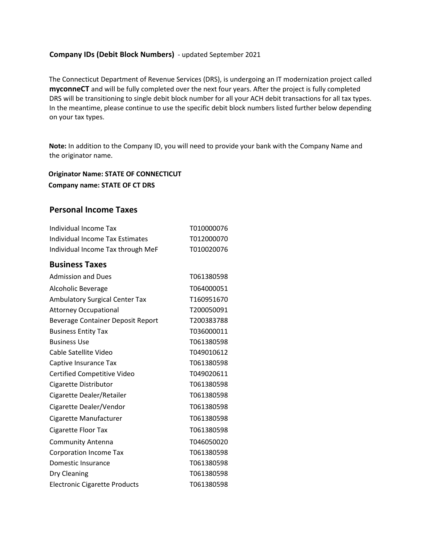## **Company IDs (Debit Block Numbers)** - updated September 2021

The Connecticut Department of Revenue Services (DRS), is undergoing an IT modernization project called **myconneCT** and will be fully completed over the next four years. After the project is fully completed DRS will be transitioning to single debit block number for all your ACH debit transactions for all tax types. In the meantime, please continue to use the specific debit block numbers listed further below depending on your tax types.

**Note:** In addition to the Company ID, you will need to provide your bank with the Company Name and the originator name.

**Originator Name: STATE OF CONNECTICUT Company name: STATE OF CT DRS**

## **Personal Income Taxes**

| Individual Income Tax                 | T010000076 |
|---------------------------------------|------------|
| Individual Income Tax Estimates       | T012000070 |
| Individual Income Tax through MeF     | T010020076 |
| <b>Business Taxes</b>                 |            |
| <b>Admission and Dues</b>             | T061380598 |
| Alcoholic Beverage                    | T064000051 |
| <b>Ambulatory Surgical Center Tax</b> | T160951670 |
| <b>Attorney Occupational</b>          | T200050091 |
| Beverage Container Deposit Report     | T200383788 |
| <b>Business Entity Tax</b>            | T036000011 |
| <b>Business Use</b>                   | T061380598 |
| Cable Satellite Video                 | T049010612 |
| Captive Insurance Tax                 | T061380598 |
| Certified Competitive Video           | T049020611 |
| Cigarette Distributor                 | T061380598 |
| Cigarette Dealer/Retailer             | T061380598 |
| Cigarette Dealer/Vendor               | T061380598 |
| Cigarette Manufacturer                | T061380598 |
| Cigarette Floor Tax                   | T061380598 |
| <b>Community Antenna</b>              | T046050020 |
| <b>Corporation Income Tax</b>         | T061380598 |
| Domestic Insurance                    | T061380598 |
| Dry Cleaning                          | T061380598 |
| <b>Electronic Cigarette Products</b>  | T061380598 |